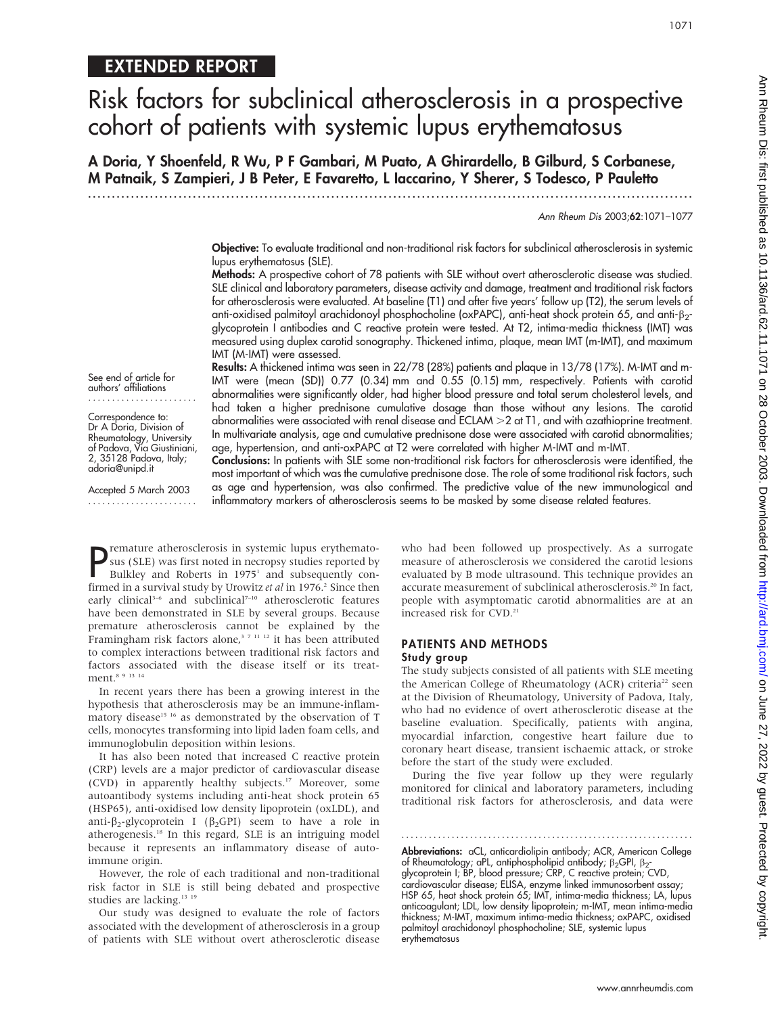# EXTENDED REPORT

# Risk factors for subclinical atherosclerosis in a prospective cohort of patients with systemic lupus erythematosus

A Doria, Y Shoenfeld, R Wu, P F Gambari, M Puato, A Ghirardello, B Gilburd, S Corbanese, M Patnaik, S Zampieri, J B Peter, E Favaretto, L Iaccarino, Y Sherer, S Todesco, P Pauletto

.............................................................................................................................. .

Ann Rheum Dis 2003;62:1071–1077

1071

Objective: To evaluate traditional and non-traditional risk factors for subclinical atherosclerosis in systemic lupus erythematosus (SLE).

Methods: A prospective cohort of 78 patients with SLE without overt atherosclerotic disease was studied. SLE clinical and laboratory parameters, disease activity and damage, treatment and traditional risk factors for atherosclerosis were evaluated. At baseline (T1) and after five years' follow up (T2), the serum levels of anti-oxidised palmitoyl arachidonoyl phosphocholine (oxPAPC), anti-heat shock protein 65, and anti- $\beta_2$ glycoprotein I antibodies and C reactive protein were tested. At T2, intima-media thickness (IMT) was measured using duplex carotid sonography. Thickened intima, plaque, mean IMT (m-IMT), and maximum IMT (M-IMT) were assessed. Results: A thickened intima was seen in 22/78 (28%) patients and plaque in 13/78 (17%). M-IMT and m-

IMT were (mean (SD)) 0.77 (0.34) mm and 0.55 (0.15) mm, respectively. Patients with carotid abnormalities were significantly older, had higher blood pressure and total serum cholesterol levels, and had taken a higher prednisone cumulative dosage than those without any lesions. The carotid abnormalities were associated with renal disease and ECLAM > 2 at T1, and with azathioprine treatment.

See end of article for authors' affiliations .......................

Correspondence to: Dr A Doria, Division of Rheumatology, University of Padova, Via Giustiniani, 2, 35128 Padova, Italy; adoria@unipd.it

Accepted 5 March 2003

In multivariate analysis, age and cumulative prednisone dose were associated with carotid abnormalities; age, hypertension, and anti-oxPAPC at T2 were correlated with higher M-IMT and m-IMT. Conclusions: In patients with SLE some non-traditional risk factors for atherosclerosis were identified, the most important of which was the cumulative prednisone dose. The role of some traditional risk factors, such as age and hypertension, was also confirmed. The predictive value of the new immunological and inflammatory markers of atherosclerosis seems to be masked by some disease related features.

**P** remature atherosclerosis in systemic lupus erythemato-<br>
sus (SLE) was first noted in necropsy studies reported by<br>
Bulkley and Roberts in 1975<sup>1</sup> and subsequently con-<br>
firmed in a currival study by Uranitz at al in 19 sus (SLE) was first noted in necropsy studies reported by Bulkley and Roberts in 1975<sup>1</sup> and subsequently confirmed in a survival study by Urowitz et al in 1976.<sup>2</sup> Since then early clinical<sup>3-6</sup> and subclinical<sup>7-10</sup> atherosclerotic features have been demonstrated in SLE by several groups. Because premature atherosclerosis cannot be explained by the Framingham risk factors alone,<sup>37 11-12</sup> it has been attributed to complex interactions between traditional risk factors and factors associated with the disease itself or its treatment.8 9 13 14

In recent years there has been a growing interest in the hypothesis that atherosclerosis may be an immune-inflammatory disease<sup>15 16</sup> as demonstrated by the observation of T cells, monocytes transforming into lipid laden foam cells, and immunoglobulin deposition within lesions.

It has also been noted that increased C reactive protein (CRP) levels are a major predictor of cardiovascular disease (CVD) in apparently healthy subjects.17 Moreover, some autoantibody systems including anti-heat shock protein 65 (HSP65), anti-oxidised low density lipoprotein (oxLDL), and anti- $\beta_2$ -glycoprotein I ( $\beta_2$ GPI) seem to have a role in atherogenesis.18 In this regard, SLE is an intriguing model because it represents an inflammatory disease of autoimmune origin.

However, the role of each traditional and non-traditional risk factor in SLE is still being debated and prospective studies are lacking.<sup>13</sup> <sup>19</sup>

Our study was designed to evaluate the role of factors associated with the development of atherosclerosis in a group of patients with SLE without overt atherosclerotic disease who had been followed up prospectively. As a surrogate measure of atherosclerosis we considered the carotid lesions evaluated by B mode ultrasound. This technique provides an accurate measurement of subclinical atherosclerosis.<sup>20</sup> In fact, people with asymptomatic carotid abnormalities are at an increased risk for CVD.<sup>21</sup>

# PATIENTS AND METHODS Study group

The study subjects consisted of all patients with SLE meeting the American College of Rheumatology (ACR) criteria<sup>22</sup> seen at the Division of Rheumatology, University of Padova, Italy, who had no evidence of overt atherosclerotic disease at the baseline evaluation. Specifically, patients with angina, myocardial infarction, congestive heart failure due to coronary heart disease, transient ischaemic attack, or stroke

before the start of the study were excluded. During the five year follow up they were regularly monitored for clinical and laboratory parameters, including traditional risk factors for atherosclerosis, and data were

............................................................... .

Abbreviations: aCL, anticardiolipin antibody; ACR, American College of Rheumatology; aPL, antiphospholipid antibody; β<sub>2</sub>GPI, β<sub>2</sub>-<br>glycoprotein I; BP, blood pressure; CRP, C reactive protein; CVD, cardiovascular disease; ELISA, enzyme linked immunosorbent assay; HSP 65, heat shock protein 65; IMT, intima-media thickness; LA, lupus anticoagulant; LDL, low density lipoprotein; m-IMT, mean intima-media thickness; M-IMT, maximum intima-media thickness; oxPAPC, oxidised palmitoyl arachidonoyl phosphocholine; SLE, systemic lupus erythematosus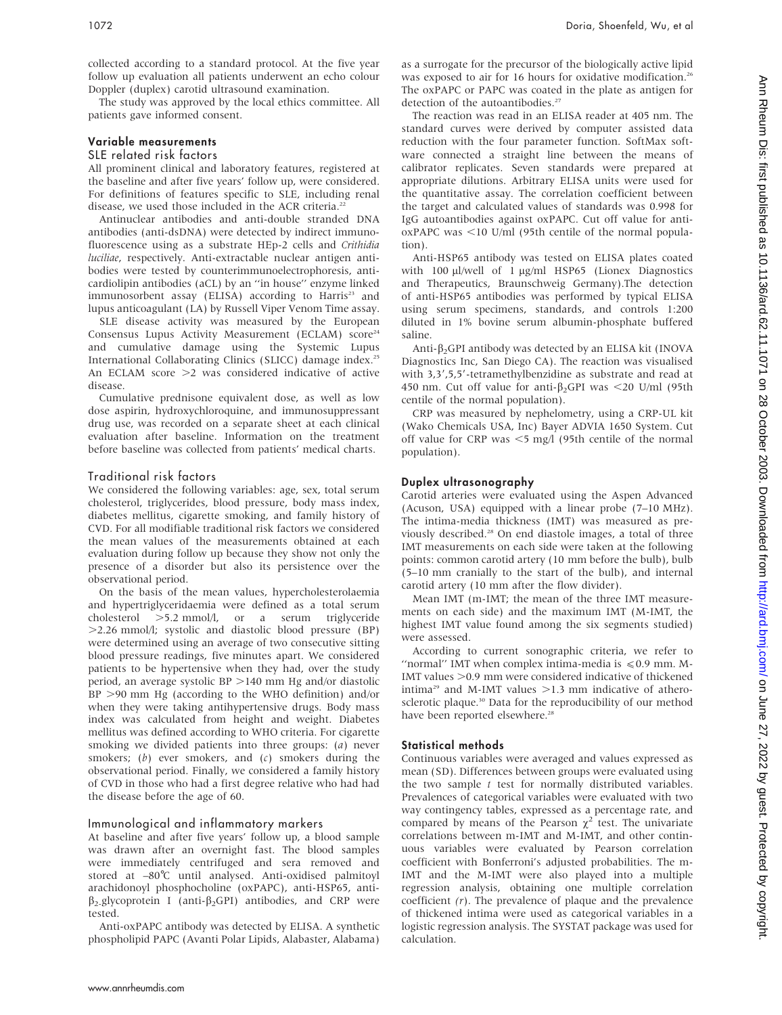collected according to a standard protocol. At the five year follow up evaluation all patients underwent an echo colour Doppler (duplex) carotid ultrasound examination.

The study was approved by the local ethics committee. All patients gave informed consent.

# Variable measurements

# SLE related risk factors

All prominent clinical and laboratory features, registered at the baseline and after five years' follow up, were considered. For definitions of features specific to SLE, including renal disease, we used those included in the ACR criteria.<sup>22</sup>

Antinuclear antibodies and anti-double stranded DNA antibodies (anti-dsDNA) were detected by indirect immunofluorescence using as a substrate HEp-2 cells and Crithidia luciliae, respectively. Anti-extractable nuclear antigen antibodies were tested by counterimmunoelectrophoresis, anticardiolipin antibodies (aCL) by an ''in house'' enzyme linked immunosorbent assay (ELISA) according to Harris<sup>23</sup> and lupus anticoagulant (LA) by Russell Viper Venom Time assay.

SLE disease activity was measured by the European Consensus Lupus Activity Measurement (ECLAM) score<sup>24</sup> and cumulative damage using the Systemic Lupus International Collaborating Clinics (SLICC) damage index.25 An ECLAM score  $>2$  was considered indicative of active disease.

Cumulative prednisone equivalent dose, as well as low dose aspirin, hydroxychloroquine, and immunosuppressant drug use, was recorded on a separate sheet at each clinical evaluation after baseline. Information on the treatment before baseline was collected from patients' medical charts.

# Traditional risk factors

We considered the following variables: age, sex, total serum cholesterol, triglycerides, blood pressure, body mass index, diabetes mellitus, cigarette smoking, and family history of CVD. For all modifiable traditional risk factors we considered the mean values of the measurements obtained at each evaluation during follow up because they show not only the presence of a disorder but also its persistence over the observational period.

On the basis of the mean values, hypercholesterolaemia and hypertriglyceridaemia were defined as a total serum cholesterol .5.2 mmol/l, or a serum triglyceride .2.26 mmol/l; systolic and diastolic blood pressure (BP) were determined using an average of two consecutive sitting blood pressure readings, five minutes apart. We considered patients to be hypertensive when they had, over the study period, an average systolic BP >140 mm Hg and/or diastolic  $BP >90$  mm Hg (according to the WHO definition) and/or when they were taking antihypertensive drugs. Body mass index was calculated from height and weight. Diabetes mellitus was defined according to WHO criteria. For cigarette smoking we divided patients into three groups: (a) never smokers;  $(b)$  ever smokers, and  $(c)$  smokers during the observational period. Finally, we considered a family history of CVD in those who had a first degree relative who had had the disease before the age of 60.

# Immunological and inflammatory markers

At baseline and after five years' follow up, a blood sample was drawn after an overnight fast. The blood samples were immediately centrifuged and sera removed and stored at -80°C until analysed. Anti-oxidised palmitoyl arachidonoyl phosphocholine (oxPAPC), anti-HSP65, anti- $\beta_2$ -glycoprotein I (anti- $\beta_2$ GPI) antibodies, and CRP were tested.

Anti-oxPAPC antibody was detected by ELISA. A synthetic phospholipid PAPC (Avanti Polar Lipids, Alabaster, Alabama) as a surrogate for the precursor of the biologically active lipid was exposed to air for 16 hours for oxidative modification.<sup>26</sup> The oxPAPC or PAPC was coated in the plate as antigen for detection of the autoantibodies.<sup>27</sup>

The reaction was read in an ELISA reader at 405 nm. The standard curves were derived by computer assisted data reduction with the four parameter function. SoftMax software connected a straight line between the means of calibrator replicates. Seven standards were prepared at appropriate dilutions. Arbitrary ELISA units were used for the quantitative assay. The correlation coefficient between the target and calculated values of standards was 0.998 for IgG autoantibodies against oxPAPC. Cut off value for anti $oxPAPC$  was  $\leq 10$  U/ml (95th centile of the normal population).

Anti-HSP65 antibody was tested on ELISA plates coated with 100 µl/well of 1 µg/ml HSP65 (Lionex Diagnostics and Therapeutics, Braunschweig Germany).The detection of anti-HSP65 antibodies was performed by typical ELISA using serum specimens, standards, and controls 1:200 diluted in 1% bovine serum albumin-phosphate buffered saline.

Anti- $\beta_2$ GPI antibody was detected by an ELISA kit (INOVA Diagnostics Inc, San Diego CA). The reaction was visualised with 3,3',5,5'-tetramethylbenzidine as substrate and read at 450 nm. Cut off value for anti- $\beta_2$ GPI was <20 U/ml (95th centile of the normal population).

CRP was measured by nephelometry, using a CRP-UL kit (Wako Chemicals USA, Inc) Bayer ADVIA 1650 System. Cut off value for CRP was  $\leq$ 5 mg/l (95th centile of the normal population).

### Duplex ultrasonography

Carotid arteries were evaluated using the Aspen Advanced (Acuson, USA) equipped with a linear probe (7–10 MHz). The intima-media thickness (IMT) was measured as previously described.28 On end diastole images, a total of three IMT measurements on each side were taken at the following points: common carotid artery (10 mm before the bulb), bulb (5–10 mm cranially to the start of the bulb), and internal carotid artery (10 mm after the flow divider).

Mean IMT (m-IMT; the mean of the three IMT measurements on each side) and the maximum IMT (M-IMT, the highest IMT value found among the six segments studied) were assessed.

According to current sonographic criteria, we refer to "normal" IMT when complex intima-media is  $\leq 0.9$  mm. M-IMT values  $>0.9$  mm were considered indicative of thickened intima<sup>29</sup> and M-IMT values  $>1.3$  mm indicative of atherosclerotic plaque.<sup>30</sup> Data for the reproducibility of our method have been reported elsewhere.<sup>28</sup>

#### Statistical methods

Continuous variables were averaged and values expressed as mean (SD). Differences between groups were evaluated using the two sample  $t$  test for normally distributed variables. Prevalences of categorical variables were evaluated with two way contingency tables, expressed as a percentage rate, and compared by means of the Pearson  $\gamma^2$  test. The univariate correlations between m-IMT and M-IMT, and other continuous variables were evaluated by Pearson correlation coefficient with Bonferroni's adjusted probabilities. The m-IMT and the M-IMT were also played into a multiple regression analysis, obtaining one multiple correlation coefficient  $(r)$ . The prevalence of plaque and the prevalence of thickened intima were used as categorical variables in a logistic regression analysis. The SYSTAT package was used for calculation.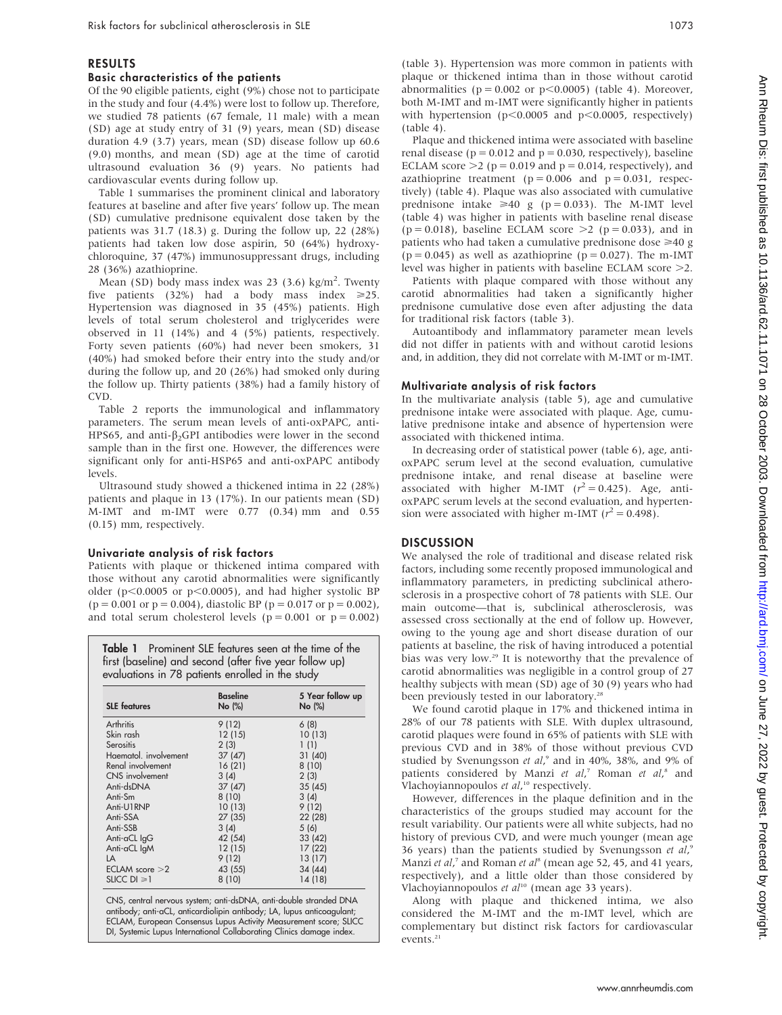# RESULTS

# Basic characteristics of the patients

Of the 90 eligible patients, eight (9%) chose not to participate in the study and four (4.4%) were lost to follow up. Therefore, we studied 78 patients (67 female, 11 male) with a mean (SD) age at study entry of 31 (9) years, mean (SD) disease duration 4.9 (3.7) years, mean (SD) disease follow up 60.6 (9.0) months, and mean (SD) age at the time of carotid ultrasound evaluation 36 (9) years. No patients had cardiovascular events during follow up.

Table 1 summarises the prominent clinical and laboratory features at baseline and after five years' follow up. The mean (SD) cumulative prednisone equivalent dose taken by the patients was 31.7 (18.3) g. During the follow up, 22 (28%) patients had taken low dose aspirin, 50 (64%) hydroxychloroquine, 37 (47%) immunosuppressant drugs, including 28 (36%) azathioprine.

Mean (SD) body mass index was 23 (3.6) kg/m<sup>2</sup>. Twenty five patients (32%) had a body mass index  $\geq 25$ . Hypertension was diagnosed in 35 (45%) patients. High levels of total serum cholesterol and triglycerides were observed in 11 (14%) and 4 (5%) patients, respectively. Forty seven patients (60%) had never been smokers, 31 (40%) had smoked before their entry into the study and/or during the follow up, and 20 (26%) had smoked only during the follow up. Thirty patients (38%) had a family history of CVD.

Table 2 reports the immunological and inflammatory parameters. The serum mean levels of anti-oxPAPC, anti-HPS65, and anti- $\beta_2$ GPI antibodies were lower in the second sample than in the first one. However, the differences were significant only for anti-HSP65 and anti-oxPAPC antibody levels.

Ultrasound study showed a thickened intima in 22 (28%) patients and plaque in 13 (17%). In our patients mean (SD) M-IMT and m-IMT were 0.77 (0.34) mm and 0.55 (0.15) mm, respectively.

#### Univariate analysis of risk factors

Patients with plaque or thickened intima compared with those without any carotid abnormalities were significantly older ( $p<0.0005$  or  $p<0.0005$ ), and had higher systolic BP  $(p = 0.001 \text{ or } p = 0.004)$ , diastolic BP  $(p = 0.017 \text{ or } p = 0.002)$ , and total serum cholesterol levels ( $p = 0.001$  or  $p = 0.002$ )

| Table 1 Prominent SLE features seen at the time of the  |
|---------------------------------------------------------|
| first (baseline) and second (after five year follow up) |
| evaluations in 78 patients enrolled in the study        |

| <b>SLE</b> features   | <b>Baseline</b><br>No (%) | 5 Year follow up<br>No (%) |
|-----------------------|---------------------------|----------------------------|
| Arthritis             | 9(12)                     | 6(8)                       |
| Skin rash             | 12(15)                    | 10(13)                     |
| Serositis             | 2(3)                      | 1(1)                       |
| Haematol, involvement | 37(47)                    | 31 (40)                    |
| Renal involvement     | 16(21)                    | 8(10)                      |
| CNS involvement       | 3(4)                      | 2(3)                       |
| Anti-dsDNA            | 37(47)                    | 35(45)                     |
| Anti-Sm               | 8(10)                     | 3(4)                       |
| Anti-U1RNP            | 10(13)                    | 9(12)                      |
| Anti-SSA              | 27(35)                    | 22 (28)                    |
| Anti-SSB              | 3(4)                      | 5(6)                       |
| Anti-aCL IgG          | 42 (54)                   | 33 (42)                    |
| Anti-aCL IgM          | 12(15)                    | 17(22)                     |
| LA                    | 9(12)                     | 13 (17)                    |
| $ECIAM$ score $>2$    | 43 (55)                   | 34 (44)                    |
| SLICC $DI \geq 1$     | 8(10)                     | 14 (18)                    |

CNS, central nervous system; anti-dsDNA, anti-double stranded DNA antibody; anti-aCL, anticardiolipin antibody; LA, lupus anticoagulant; ECLAM, European Consensus Lupus Activity Measurement score; SLICC DI, Systemic Lupus International Collaborating Clinics damage index.

(table 3). Hypertension was more common in patients with plaque or thickened intima than in those without carotid abnormalities ( $p = 0.002$  or  $p < 0.0005$ ) (table 4). Moreover, both M-IMT and m-IMT were significantly higher in patients with hypertension ( $p<0.0005$  and  $p<0.0005$ , respectively) (table 4).

Plaque and thickened intima were associated with baseline renal disease ( $p = 0.012$  and  $p = 0.030$ , respectively), baseline ECLAM score  $>2$  (p = 0.019 and p = 0.014, respectively), and azathioprine treatment ( $p = 0.006$  and  $p = 0.031$ , respectively) (table 4). Plaque was also associated with cumulative prednisone intake  $\geq 40$  g (p = 0.033). The M-IMT level (table 4) was higher in patients with baseline renal disease  $(p = 0.018)$ , baseline ECLAM score  $\geq 2$  (p = 0.033), and in patients who had taken a cumulative prednisone dose  $\geq 40$  g  $(p = 0.045)$  as well as azathioprine  $(p = 0.027)$ . The m-IMT level was higher in patients with baseline ECLAM score  $\geq$ 2.

Patients with plaque compared with those without any carotid abnormalities had taken a significantly higher prednisone cumulative dose even after adjusting the data for traditional risk factors (table 3).

Autoantibody and inflammatory parameter mean levels did not differ in patients with and without carotid lesions and, in addition, they did not correlate with M-IMT or m-IMT.

#### Multivariate analysis of risk factors

In the multivariate analysis (table 5), age and cumulative prednisone intake were associated with plaque. Age, cumulative prednisone intake and absence of hypertension were associated with thickened intima.

In decreasing order of statistical power (table 6), age, antioxPAPC serum level at the second evaluation, cumulative prednisone intake, and renal disease at baseline were associated with higher M-IMT  $(r^2 = 0.425)$ . Age, antioxPAPC serum levels at the second evaluation, and hypertension were associated with higher m-IMT ( $r^2 = 0.498$ ).

### **DISCUSSION**

We analysed the role of traditional and disease related risk factors, including some recently proposed immunological and inflammatory parameters, in predicting subclinical atherosclerosis in a prospective cohort of 78 patients with SLE. Our main outcome—that is, subclinical atherosclerosis, was assessed cross sectionally at the end of follow up. However, owing to the young age and short disease duration of our patients at baseline, the risk of having introduced a potential bias was very low.29 It is noteworthy that the prevalence of carotid abnormalities was negligible in a control group of 27 healthy subjects with mean (SD) age of 30 (9) years who had been previously tested in our laboratory.<sup>28</sup>

We found carotid plaque in 17% and thickened intima in 28% of our 78 patients with SLE. With duplex ultrasound, carotid plaques were found in 65% of patients with SLE with previous CVD and in 38% of those without previous CVD studied by Svenungsson et al,<sup>9</sup> and in 40%, 38%, and 9% of patients considered by Manzi et al,<sup>7</sup> Roman et al,<sup>8</sup> and Vlachoyiannopoulos et al,<sup>10</sup> respectively.

However, differences in the plaque definition and in the characteristics of the groups studied may account for the result variability. Our patients were all white subjects, had no history of previous CVD, and were much younger (mean age 36 years) than the patients studied by Svenungsson et  $al$ ,<sup>6</sup> Manzi et al,<sup>7</sup> and Roman et al<sup>8</sup> (mean age 52, 45, and 41 years, respectively), and a little older than those considered by Vlachoyiannopoulos et al<sup>10</sup> (mean age 33 years).

Along with plaque and thickened intima, we also considered the M-IMT and the m-IMT level, which are complementary but distinct risk factors for cardiovascular events. $21$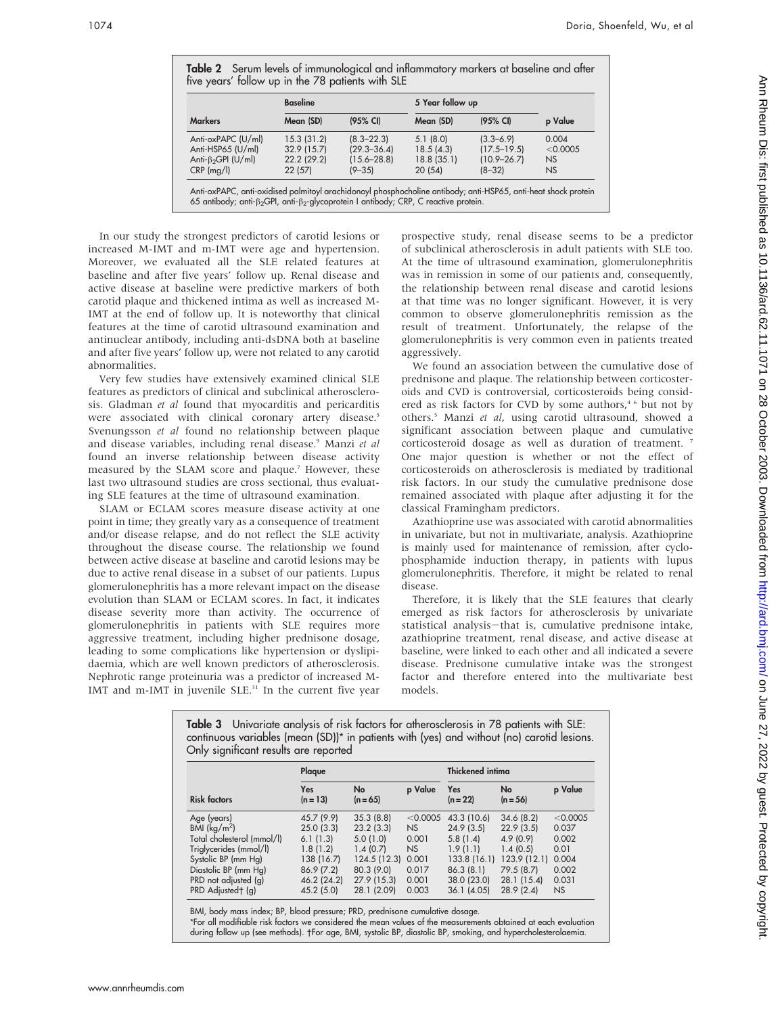| Table 2 Serum levels of immunological and inflammatory markers at baseline and after<br>five years' follow up in the 78 patients with SLE |                 |          |                  |                    |         |  |  |
|-------------------------------------------------------------------------------------------------------------------------------------------|-----------------|----------|------------------|--------------------|---------|--|--|
|                                                                                                                                           | <b>Baseline</b> |          | 5 Year follow up |                    |         |  |  |
| <b>Markers</b>                                                                                                                            | Mean (SD)       | (95% CI) | Mean (SD)        | $(95% \text{ Cl})$ | p Value |  |  |

Markers Mean (SD) (95% CI) Mean (SD) (95% CI) p Value Anti-oxPAPC (U/ml) 15.3 (31.2) (8.3–22.3) 5.1 (8.0) (3.3–6.9) 0.004<br>Anti-HSP65 (U/ml) 32.9 (15.7) (29.3–36.4) 18.5 (4.3) (17.5–19.5) <0.0005 Anti-HSP65 (U/ml) 32.9 (15.7) (29.3–36.4) 18.5 (4.3) (17.5–19.5) <0.<br>Anti-ß-GPI (U/ml) 22.2 (29.2) (15.6–28.8) 18.8 (35.1) (10.9–26.7) NS Anti-β<sub>2</sub>GPI (U/ml) 22.2 (29.2) (15.6–28.8) 18.8 (35.1) (10.9–26.7) NS<br>CRP (mg/l) 22 (57) (9–35) 20 (54) (8–32) NS CRP (mg/l) 22 (57) (9–35) 20 (54) (8–32) NS Anti-oxPAPC, anti-oxidised palmitoyl arachidonoyl phosphocholine antibody; anti-HSP65, anti-heat shock protein 65 antibody; anti- $\beta_2$ GPI, anti- $\beta_2$ -glycoprotein I antibody; CRP, C reactive protein.

In our study the strongest predictors of carotid lesions or increased M-IMT and m-IMT were age and hypertension. Moreover, we evaluated all the SLE related features at baseline and after five years' follow up. Renal disease and active disease at baseline were predictive markers of both carotid plaque and thickened intima as well as increased M-IMT at the end of follow up. It is noteworthy that clinical features at the time of carotid ultrasound examination and antinuclear antibody, including anti-dsDNA both at baseline and after five years' follow up, were not related to any carotid abnormalities.

Very few studies have extensively examined clinical SLE features as predictors of clinical and subclinical atherosclerosis. Gladman et al found that myocarditis and pericarditis were associated with clinical coronary artery disease.<sup>5</sup> Svenungsson et al found no relationship between plaque and disease variables, including renal disease.<sup>9</sup> Manzi et al found an inverse relationship between disease activity measured by the SLAM score and plaque.<sup>7</sup> However, these last two ultrasound studies are cross sectional, thus evaluating SLE features at the time of ultrasound examination.

SLAM or ECLAM scores measure disease activity at one point in time; they greatly vary as a consequence of treatment and/or disease relapse, and do not reflect the SLE activity throughout the disease course. The relationship we found between active disease at baseline and carotid lesions may be due to active renal disease in a subset of our patients. Lupus glomerulonephritis has a more relevant impact on the disease evolution than SLAM or ECLAM scores. In fact, it indicates disease severity more than activity. The occurrence of glomerulonephritis in patients with SLE requires more aggressive treatment, including higher prednisone dosage, leading to some complications like hypertension or dyslipidaemia, which are well known predictors of atherosclerosis. Nephrotic range proteinuria was a predictor of increased M-IMT and m-IMT in juvenile SLE.<sup>31</sup> In the current five year prospective study, renal disease seems to be a predictor of subclinical atherosclerosis in adult patients with SLE too. At the time of ultrasound examination, glomerulonephritis was in remission in some of our patients and, consequently, the relationship between renal disease and carotid lesions at that time was no longer significant. However, it is very common to observe glomerulonephritis remission as the result of treatment. Unfortunately, the relapse of the glomerulonephritis is very common even in patients treated aggressively.

We found an association between the cumulative dose of prednisone and plaque. The relationship between corticosteroids and CVD is controversial, corticosteroids being considered as risk factors for CVD by some authors,<sup>46</sup> but not by others.<sup>5</sup> Manzi et al, using carotid ultrasound, showed a significant association between plaque and cumulative corticosteroid dosage as well as duration of treatment. <sup>7</sup> One major question is whether or not the effect of corticosteroids on atherosclerosis is mediated by traditional risk factors. In our study the cumulative prednisone dose remained associated with plaque after adjusting it for the classical Framingham predictors.

Azathioprine use was associated with carotid abnormalities in univariate, but not in multivariate, analysis. Azathioprine is mainly used for maintenance of remission, after cyclophosphamide induction therapy, in patients with lupus glomerulonephritis. Therefore, it might be related to renal disease.

Therefore, it is likely that the SLE features that clearly emerged as risk factors for atherosclerosis by univariate statistical analysis-that is, cumulative prednisone intake, azathioprine treatment, renal disease, and active disease at baseline, were linked to each other and all indicated a severe disease. Prednisone cumulative intake was the strongest factor and therefore entered into the multivariate best models.

| continuous variables (mean (SD)) <sup>*</sup> in patients with (yes) and without (no) carotid lesions.<br>Only significant results are reported |                          |                         |           |                         |                         |          |  |  |  |
|-------------------------------------------------------------------------------------------------------------------------------------------------|--------------------------|-------------------------|-----------|-------------------------|-------------------------|----------|--|--|--|
|                                                                                                                                                 | Plaque                   |                         |           | <b>Thickened intima</b> |                         |          |  |  |  |
| <b>Risk factors</b>                                                                                                                             | <b>Yes</b><br>$(n = 13)$ | <b>No</b><br>$(n = 65)$ | p Value   | Yes<br>$(n = 22)$       | <b>No</b><br>$(n = 56)$ | p Value  |  |  |  |
| Age (years)                                                                                                                                     | 45.7 (9.9)               | 35.3(8.8)               | < 0.0005  | 43.3 (10.6)             | 34.6(8.2)               | < 0.0005 |  |  |  |
| BMI $(kg/m^2)$                                                                                                                                  | 25.0(3.3)                | 23.2(3.3)               | <b>NS</b> | 24.9(3.5)               | 22.9(3.5)               | 0.037    |  |  |  |
| Total cholesterol (mmol/l)                                                                                                                      | 6.1(1.3)                 | 5.0(1.0)                | 0.001     | 5.8(1.4)                | 4.9(0.9)                | 0.002    |  |  |  |
| Triglycerides (mmol/l)                                                                                                                          | 1.8(1.2)                 | 1.4(0.7)                | NS        | 1.9(1.1)                | 1.4(0.5)                | 0.01     |  |  |  |
| Systolic BP (mm Hg)                                                                                                                             | 138 (16.7)               | 124.5 (12.3)            | 0.001     | 133.8 (16.1)            | 123.9(12.1)             | 0.004    |  |  |  |
| Diastolic BP (mm Hg)                                                                                                                            | 86.9(7.2)                | 80.3 (9.0)              | 0.017     | 86.3(8.1)               | 79.5 (8.7)              | 0.002    |  |  |  |
| PRD not adjusted (g)                                                                                                                            | 46.2 (24.2)              | 27.9 (15.3)             | 0.001     | 38.0 (23.0)             | 28.1 (15.4)             | 0.031    |  |  |  |
| PRD Adjusted† (g)                                                                                                                               | 45.2 (5.0)               | 28.1 (2.09)             | 0.003     | 36.1(4.05)              | 28.9(2.4)               | NS       |  |  |  |

Table 3 Univariate analysis of risk factors for atherosclerosis in 78 patients with SLE:

BMI, body mass index; BP, blood pressure; PRD, prednisone cumulative dosage.

\*For all modifiable risk factors we considered the mean values of the measurements obtained at each evaluation during follow up (see methods). -For age, BMI, systolic BP, diastolic BP, smoking, and hypercholesterolaemia.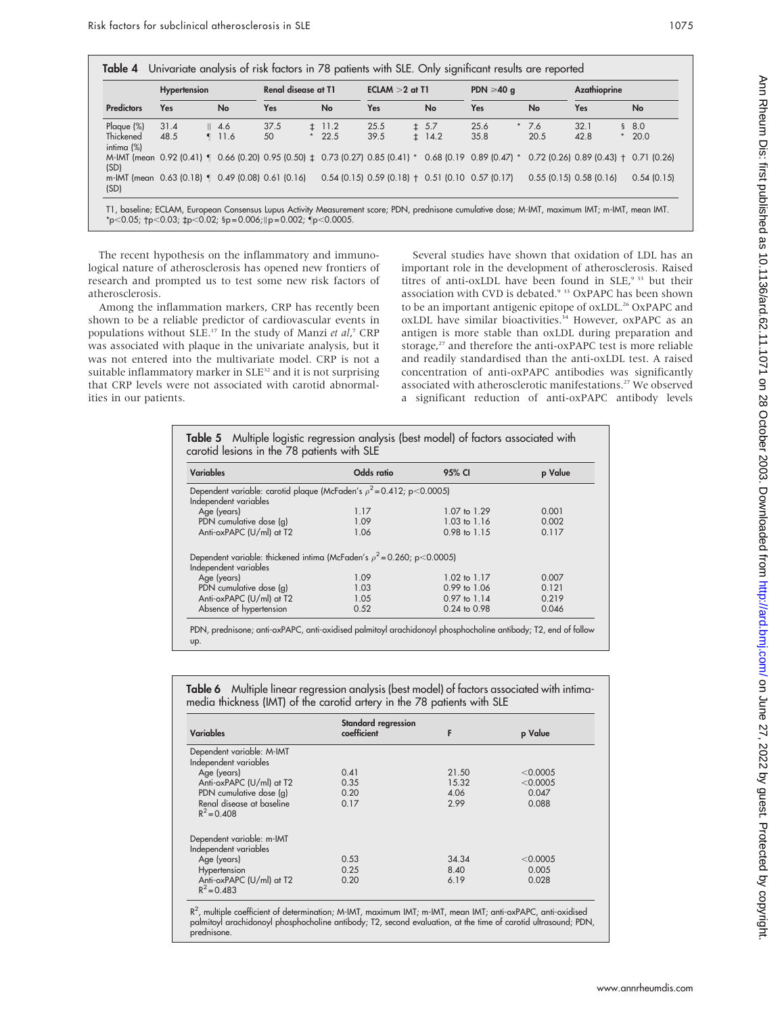|                                                           | <b>Hypertension</b> |                 | Renal disease at T1 |         |            | $ECIAM > 2$ at T1 |            | PDN $\geqslant$ 40 q                                                                                   |        | Azathioprine                            |         |            |
|-----------------------------------------------------------|---------------------|-----------------|---------------------|---------|------------|-------------------|------------|--------------------------------------------------------------------------------------------------------|--------|-----------------------------------------|---------|------------|
| <b>Predictors</b>                                         | Yes                 | <b>No</b>       | Yes                 |         | <b>No</b>  | <b>Yes</b>        | No         | Yes                                                                                                    | No     | Yes                                     |         | <b>No</b>  |
| Plaque $(\%)$                                             | 31.4                | $\parallel$ 4.6 | 37.5                |         | $\pm$ 11.2 | 25.5              | ± 5.7      | 25.6                                                                                                   | $*7.6$ | 32.1                                    |         | \$8.0      |
| Thickened<br>intima $(\%)$                                | 48.5                | $\P$ 11.6       | 50                  | $\star$ | 22.5       | 39.5              | $\pm$ 14.2 | 35.8                                                                                                   | 20.5   | 42.8                                    | $\star$ | 20.0       |
| (SD)                                                      |                     |                 |                     |         |            |                   |            | M-IMT (mean 0.92 (0.41) 1 0.66 (0.20) 0.95 (0.50) ± 0.73 (0.27) 0.85 (0.41) * 0.68 (0.19 0.89 (0.47) * |        | $0.72$ (0.26) 0.89 (0.43) + 0.71 (0.26) |         |            |
| m-IMT (mean 0.63 (0.18)   0.49 (0.08) 0.61 (0.16)<br>(SD) |                     |                 |                     |         |            |                   |            | $0.54$ (0.15) $0.59$ (0.18) $\pm$ 0.51 (0.10 0.57 (0.17)                                               |        | $0.55$ (0.15) $0.58$ (0.16)             |         | 0.54(0.15) |

The recent hypothesis on the inflammatory and immunological nature of atherosclerosis has opened new frontiers of research and prompted us to test some new risk factors of atherosclerosis.

Among the inflammation markers, CRP has recently been shown to be a reliable predictor of cardiovascular events in populations without SLE.<sup>17</sup> In the study of Manzi et al,<sup>7</sup> CRP was associated with plaque in the univariate analysis, but it was not entered into the multivariate model. CRP is not a suitable inflammatory marker in SLE<sup>32</sup> and it is not surprising that CRP levels were not associated with carotid abnormalities in our patients.

Several studies have shown that oxidation of LDL has an important role in the development of atherosclerosis. Raised titres of anti-oxLDL have been found in SLE,<sup>9 33</sup> but their association with CVD is debated.<sup>9 33</sup> OxPAPC has been shown to be an important antigenic epitope of oxLDL.<sup>26</sup> OxPAPC and oxLDL have similar bioactivities.<sup>34</sup> However, oxPAPC as an antigen is more stable than oxLDL during preparation and storage,<sup>27</sup> and therefore the anti-oxPAPC test is more reliable and readily standardised than the anti-oxLDL test. A raised concentration of anti-oxPAPC antibodies was significantly associated with atherosclerotic manifestations.27 We observed a significant reduction of anti-oxPAPC antibody levels

| <b>Variables</b>                                                                                       | Odds ratio<br>95% CI |                         | p Value |  |
|--------------------------------------------------------------------------------------------------------|----------------------|-------------------------|---------|--|
| Dependent variable: carotid plaque (McFaden's $\rho^2$ = 0.412; p < 0.0005)<br>Independent variables   |                      |                         |         |  |
| Age (years)                                                                                            | 1.17                 | $1.07$ to $1.29$        | 0.001   |  |
| PDN cumulative dose (g)                                                                                | 1.09                 | 1.03 to 1.16            | 0.002   |  |
| Anti-oxPAPC (U/ml) at T2                                                                               | 1.06                 | $0.98 \text{ to } 1.15$ | 0.117   |  |
| Dependent variable: thickened intima (McFaden's $\rho^2$ = 0.260; p < 0.0005)<br>Independent variables |                      |                         |         |  |
| Age (years)                                                                                            | 1.09                 | $1.02 \text{ to } 1.17$ | 0.007   |  |
| PDN cumulative dose (g)                                                                                | 1.03                 | $0.99$ to $1.06$        | 0.121   |  |
| Anti-oxPAPC (U/ml) at T2                                                                               | 1.05                 | $0.97$ to $1.14$        | 0.219   |  |
| Absence of hypertension                                                                                | 0.52                 | $0.24$ to $0.98$        | 0.046   |  |

up.

Table 6 Multiple linear regression analysis (best model) of factors associated with intimamedia thickness (IMT) of the carotid artery in the 78 patients with SLE

| <b>Variables</b>                                   | Standard regression<br>coefficient | F     | p Value  |
|----------------------------------------------------|------------------------------------|-------|----------|
| Dependent variable: M-IMT<br>Independent variables |                                    |       |          |
| Age (years)                                        | 0.41                               | 21.50 | < 0.0005 |
| Anti-oxPAPC (U/ml) at T2                           | 0.35                               | 15.32 | < 0.0005 |
| PDN cumulative dose (g)                            | 0.20                               | 4.06  | 0.047    |
| Renal disease at baseline<br>$R^2 = 0.408$         | 0.17                               | 2.99  | 0.088    |
| Dependent variable: m-IMT                          |                                    |       |          |
| Independent variables                              |                                    |       |          |
| Age (years)                                        | 0.53                               | 34.34 | < 0.0005 |
| Hypertension                                       | 0.25                               | 8.40  | 0.005    |
| Anti-oxPAPC (U/ml) at T2<br>$R^2 = 0.483$          | 0.20                               | 6.19  | 0.028    |

R<sup>2</sup>, multiple coefficient of determination; M-IMT, maximum IMT; m-IMT, mean IMT; anti-oxPAPC, anti-oxidised palmitoyl arachidonoyl phosphocholine antibody; T2, second evaluation, at the time of carotid ultrasound; PDN, prednisone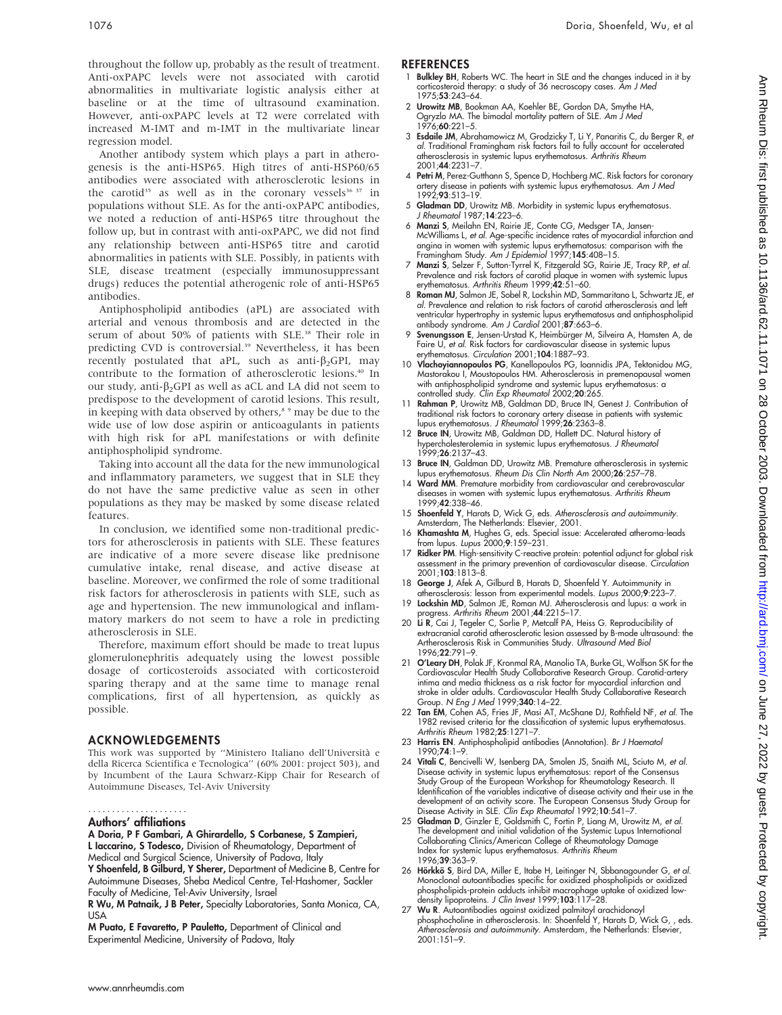throughout the follow up, probably as the result of treatment. Anti-oxPAPC levels were not associated with carotid abnormalities in multivariate logistic analysis either at baseline or at the time of ultrasound examination. However, anti-oxPAPC levels at T2 were correlated with increased M-IMT and m-IMT in the multivariate linear regression model.

Another antibody system which plays a part in atherogenesis is the anti-HSP65. High titres of anti-HSP60/65 antibodies were associated with atherosclerotic lesions in the carotid<sup>35</sup> as well as in the coronary vessels<sup>36 37</sup> in populations without SLE. As for the anti-oxPAPC antibodies, we noted a reduction of anti-HSP65 titre throughout the follow up, but in contrast with anti-oxPAPC, we did not find any relationship between anti-HSP65 titre and carotid abnormalities in patients with SLE. Possibly, in patients with SLE, disease treatment (especially immunosuppressant drugs) reduces the potential atherogenic role of anti-HSP65 antibodies.

Antiphospholipid antibodies (aPL) are associated with arterial and venous thrombosis and are detected in the serum of about 50% of patients with SLE.<sup>38</sup> Their role in predicting CVD is controversial.<sup>39</sup> Nevertheless, it has been recently postulated that aPL, such as anti- $\beta_2$ GPI, may contribute to the formation of atherosclerotic lesions.40 In our study, anti- $\beta_2$ GPI as well as aCL and LA did not seem to predispose to the development of carotid lesions. This result, in keeping with data observed by others, $8°$  may be due to the wide use of low dose aspirin or anticoagulants in patients with high risk for aPL manifestations or with definite antiphospholipid syndrome.

Taking into account all the data for the new immunological and inflammatory parameters, we suggest that in SLE they do not have the same predictive value as seen in other populations as they may be masked by some disease related features.

In conclusion, we identified some non-traditional predictors for atherosclerosis in patients with SLE. These features are indicative of a more severe disease like prednisone cumulative intake, renal disease, and active disease at baseline. Moreover, we confirmed the role of some traditional risk factors for atherosclerosis in patients with SLE, such as age and hypertension. The new immunological and inflammatory markers do not seem to have a role in predicting atherosclerosis in SLE.

Therefore, maximum effort should be made to treat lupus glomerulonephritis adequately using the lowest possible dosage of corticosteroids associated with corticosteroid sparing therapy and at the same time to manage renal complications, first of all hypertension, as quickly as possible.

### ACKNOWLEDGEMENTS

This work was supported by ''Ministero Italiano dell'Universita` e della Ricerca Scientifica e Tecnologica'' (60% 2001: project 503), and by Incumbent of the Laura Schwarz-Kipp Chair for Research of Autoimmune Diseases, Tel-Aviv University

#### Authors' affiliations .....................

A Doria, P F Gambari, A Ghirardello, S Corbanese, S Zampieri, L Iaccarino, S Todesco, Division of Rheumatology, Department of Medical and Surgical Science, University of Padova, Italy

Y Shoenfeld, B Gilburd, Y Sherer, Department of Medicine B, Centre for Autoimmune Diseases, Sheba Medical Centre, Tel-Hashomer, Sackler Faculty of Medicine, Tel-Aviv University, Israel

R Wu, M Patnaik, J B Peter, Specialty Laboratories, Santa Monica, CA, USA

M Puato, E Favaretto, P Pauletto, Department of Clinical and Experimental Medicine, University of Padova, Italy

#### **REFERENCES**

- 1 Bulkley BH, Roberts WC. The heart in SLE and the changes induced in it by corticosteroid therapy: a study of 36 necroscopy cases. Am J Med 1975;53:243–64.
- 2 Urowitz MB, Bookman AA, Koehler BE, Gordon DA, Smythe HA, Ogryzlo MA. The bimodal mortality pattern ot SLE. *Am J Med*<br>1976;**60**:221–5.
- 3 **Esdaile JM**, Abrahamowicz M, Grodzicky T, Li Y, Panaritis C, du Berger R, et<br>al. Traditional Framingham risk factors fail to fully account for accelerated atherosclerosis in systemic lupus erythematosus. Arthritis Rheum 2001;44:2231–7.
- 4 Petri M, Perez-Gutthann S, Spence D, Hochberg MC. Risk factors for coronary artery disease in patients with systemic lupus erythematosus. Am J Med  $1992.93.513 - 19$
- 5 Gladman DD, Urowitz MB. Morbidity in systemic lupus erythematosus. J Rheumatol 1987;14:223–6.
- 6 Manzi S, Meilahn EN, Rairie JE, Conte CG, Medsger TA, Jansen-McWilliams L, et al. Age-specific incidence rates of myocardial infarction and angina in women with systemic lupus erythematosus: comparison with the<br>Framingham Study. *Am J Epidemiol* 1997;**145**:408–15.
- 7 Manzi S, Selzer F, Sutton-Tyrrel K, Fitzgerald SG, Rairie JE, Tracy RP, et al. Prevalence and risk factors of carotid plaque in women with systemic lupus erythematosus. Arthritis Rheum 1999;42:51–60.
- 8 Roman MJ, Salmon JE, Sobel R, Lockshin MD, Sammaritano L, Schwartz JE, et al. Prevalence and relation to risk factors of carotid atherosclerosis and left ventricular hypertrophy in systemic lupus erythematosus and antiphospholipid antibody syndrome. Am J Cardiol 2001;87:663–6.
- 9 Svenungsson E, Jensen-Urstad K, Heimbürger M, Silveira A, Hamsten A, de Faire U, et al. Risk factors for cardiovascular disease in systemic lupus erythematosus. Circulation 2001;104:1887–93.
- 10 Vlachoyiannopoulos PG, Kanellopoulos PG, Ioannidis JPA, Tektonidou MG, Mastorakou I, Moustopoulos HM. Atherosclerosis in premenopausal women with antiphospholipid syndrome and systemic lupus erythematosus: a controlled study. *Clin Exp Rheumatol* 2002;20:265.
- 11 Rahman P, Urowitz MB, Galdman DD, Bruce IN, Genest J. Contribution of traditional risk factors to coronary artery disease in patients with systemic<br>lupus erythematosus. *J Rheumatol* 1999;**26**:2363–8.
- 12 Bruce IN, Urowitz MB, Galdman DD, Hallett DC. Natural history of hypercholesterolemia in systemic lupus erythematosus. J Rheumatol 1999:**26**:2137-43.
- 13 Bruce IN, Galdman DD, Urowitz MB. Premature atherosclerosis in systemic lupus erythematosus. Rheum Dis Clin North Am 2000;26:257–78.
- 14 Ward MM. Premature morbidity from cardiovascular and cerebrovascular diseases in women with systemic lupus erythematosus. Arthritis Rheum 1999;42:338–46.
- 15 Shoenfeld Y, Harats D, Wick G, eds. Atherosclerosis and autoimmunity. Amsterdam, The Netherlands: Elsevier, 2001.
- 16 Khamashta M, Hughes G, eds. Special issue: Accelerated atheroma-leads from lupus. Lupus 2000;9:159–231.
- 17 Ridker PM. High-sensitivity C-reactive protein: potential adjunct for global risk assessment in the primary prevention of cardiovascular disease. Circulation 2001;103:1813–8.
- 18 George J, Afek A, Gilburd B, Harats D, Shoenfeld Y. Autoimmunity in atherosclerosis: lesson from experimental models. Lupus 2000;9:223–7.
- 19 Lockshin MD, Salmon JE, Roman MJ. Atherosclerosis and lupus: a work in progress. Arthritis Rheum 2001;44:2215-17.
- 20 Li R, Cai J, Tegeler C, Sorlie P, Metcalf PA, Heiss G. Reproducibility of extracranial carotid atherosclerotic lesion assessed by B-mode ultrasound: the Artherosclerosis Risk in Communities Study. Ultrasound Med Biol 1996;22:791–9.
- 21 O'Leary DH, Polak JF, Kronmal RA, Manolio TA, Burke GL, Wolfson SK for the Cardiovascular Health Study Collaborative Research Group. Carotid-artery intima and media thickness as a risk factor for myocardial infarction and stroke in older adults. Cardiovascular Health Study Collaborative Research Group. N Eng J Med 1999;340:14–22.
- 22 Tan EM, Cohen AS, Fries JF, Masi AT, McShane DJ, Rothfield NF, et al. The 1982 revised criteria for the classification of systemic lupus erythematosus. Arthritis Rheum 1982;25:1271–7.
- 23 Harris EN. Antiphospholipid antibodies (Annotation). Br J Haematol 1990;74:1–9.
- 24 Vitali C, Bencivelli W, Isenberg DA, Smolen JS, Snaith ML, Sciuto M, et al. Disease activity in systemic lupus erythematosus: report of the Consensus Study Group of the European Workshop for Rheumatology Research. II Identification of the variables indicative of disease activity and their use in the development of an activity score. The European Consensus Study Group for Disease Activity in SLE. Clin Exp Rheumatol 1992;10:541–7.
- 25 Gladman D, Ginzler E, Goldsmith C, Fortin P, Liang M, Urowitz M, et al. The development and initial validation of the Systemic Lupus International Collaborating Clinics/American College of Rheumatology Damage Index for systemic lupus erythematosus. Arthritis Rheum 1996;39:363–9.
- 26 Hörkkö S, Bird DA, Miller E, Itabe H, Leitinger N, Sbbanagounder G, et al.<br>Monoclonal autoantibodies specific for oxidized phospholipids or oxidized phospholipids-protein adducts inhibit macrophage uptake of oxidized lowdensity lipoproteins. J Clin Invest 1999;103:117-28.
- 27 Wu R. Autoantibodies against oxidized palmitoyl arachidonoyl phosphocholine in atherosclerosis. In: Shoenfeld Y, Harats D, Wick G, , eds. Atherosclerosis and autoimmunity. Amsterdam, the Netherlands: Elsevier, 2001:151–9.